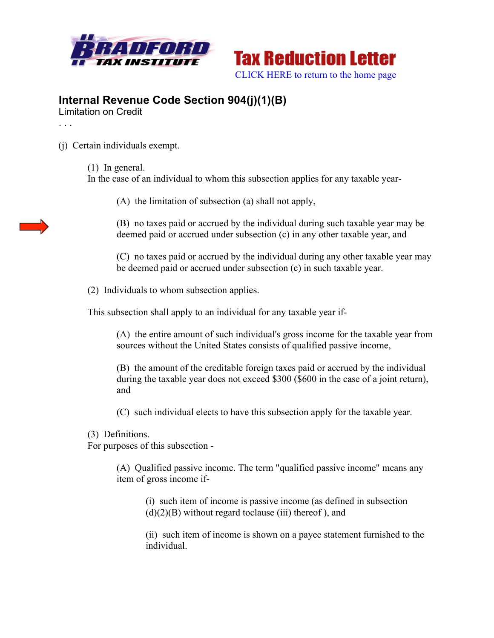



## **Internal Revenue Code Section 904(j)(1)(B)**

Limitation on Credit

. . .

(j) Certain individuals exempt.

(1) In general.

In the case of an individual to whom this subsection applies for any taxable year-

(A) the limitation of subsection (a) shall not apply,

(B) no taxes paid or accrued by the individual during such taxable year may be deemed paid or accrued under subsection (c) in any other taxable year, and

(C) no taxes paid or accrued by the individual during any other taxable year may be deemed paid or accrued under subsection (c) in such taxable year.

(2) Individuals to whom subsection applies.

This subsection shall apply to an individual for any taxable year if-

(A) the entire amount of such individual's gross income for the taxable year from sources without the United States consists of qualified passive income,

(B) the amount of the creditable foreign taxes paid or accrued by the individual during the taxable year does not exceed \$300 (\$600 in the case of a joint return), and

(C) such individual elects to have this subsection apply for the taxable year.

(3) Definitions.

For purposes of this subsection -

(A) Qualified passive income. The term "qualified passive income" means any item of gross income if-

(i) such item of income is passive income (as defined in subsection  $(d)(2)(B)$  without regard toclause (iii) thereof), and

(ii) such item of income is shown on a payee statement furnished to the individual.